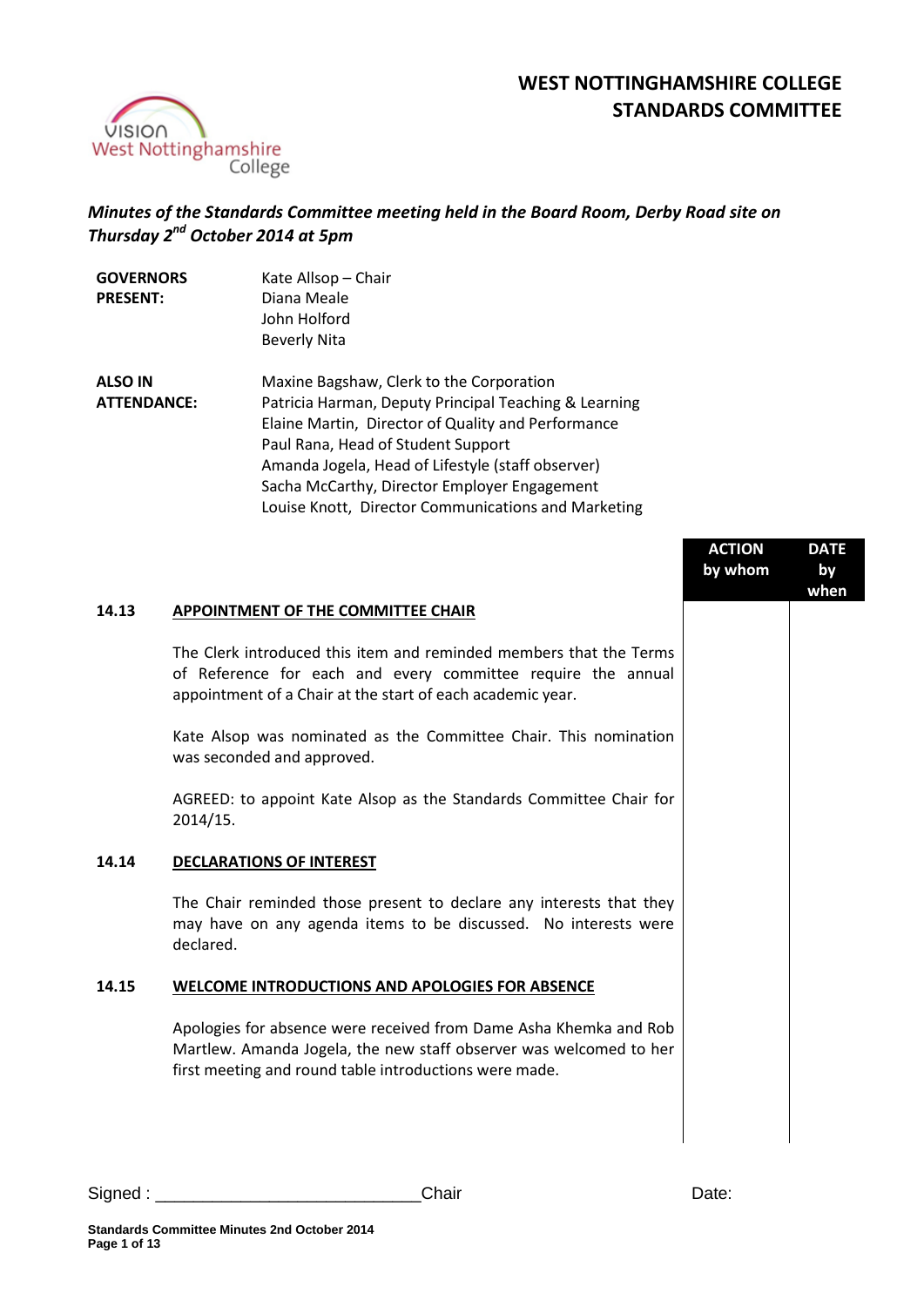

# **WEST NOTTINGHAMSHIRE COLLEGE STANDARDS COMMITTEE**

# *Minutes of the Standards Committee meeting held in the Board Room, Derby Road site on Thursday 2 nd October 2014 at 5pm*

| <b>GOVERNORS</b><br><b>PRESENT:</b> | Kate Allsop - Chair<br>Diana Meale<br>John Holford<br><b>Beverly Nita</b>                                                                                                                                                                                                                                     |
|-------------------------------------|---------------------------------------------------------------------------------------------------------------------------------------------------------------------------------------------------------------------------------------------------------------------------------------------------------------|
| <b>ALSO IN</b>                      | Maxine Bagshaw, Clerk to the Corporation                                                                                                                                                                                                                                                                      |
| <b>ATTENDANCE:</b>                  | Patricia Harman, Deputy Principal Teaching & Learning<br>Elaine Martin, Director of Quality and Performance<br>Paul Rana, Head of Student Support<br>Amanda Jogela, Head of Lifestyle (staff observer)<br>Sacha McCarthy, Director Employer Engagement<br>Louise Knott, Director Communications and Marketing |

|       |                                                                                                                                                                                                   | <b>ACTION</b><br>by whom | <b>DATE</b><br>by<br>when |
|-------|---------------------------------------------------------------------------------------------------------------------------------------------------------------------------------------------------|--------------------------|---------------------------|
| 14.13 | APPOINTMENT OF THE COMMITTEE CHAIR                                                                                                                                                                |                          |                           |
|       | The Clerk introduced this item and reminded members that the Terms<br>of Reference for each and every committee require the annual<br>appointment of a Chair at the start of each academic year.  |                          |                           |
|       | Kate Alsop was nominated as the Committee Chair. This nomination<br>was seconded and approved.                                                                                                    |                          |                           |
|       | AGREED: to appoint Kate Alsop as the Standards Committee Chair for<br>2014/15.                                                                                                                    |                          |                           |
| 14.14 | <b>DECLARATIONS OF INTEREST</b>                                                                                                                                                                   |                          |                           |
|       | The Chair reminded those present to declare any interests that they<br>may have on any agenda items to be discussed. No interests were<br>declared.                                               |                          |                           |
| 14.15 | <b>WELCOME INTRODUCTIONS AND APOLOGIES FOR ABSENCE</b>                                                                                                                                            |                          |                           |
|       | Apologies for absence were received from Dame Asha Khemka and Rob<br>Martlew. Amanda Jogela, the new staff observer was welcomed to her<br>first meeting and round table introductions were made. |                          |                           |
|       |                                                                                                                                                                                                   |                          |                           |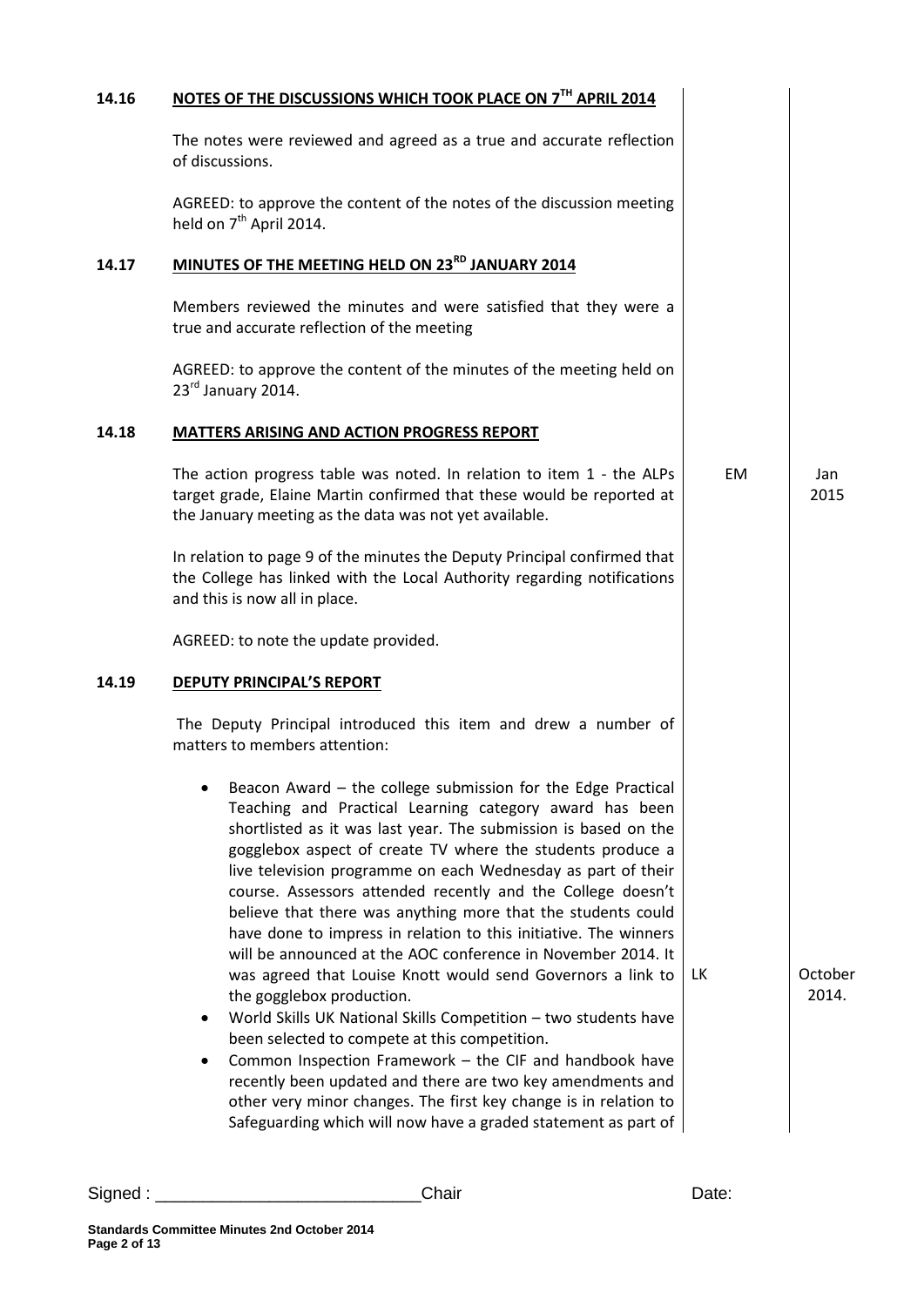| 14.16 | NOTES OF THE DISCUSSIONS WHICH TOOK PLACE ON 7TH APRIL 2014                                                                                                                                                                                                                                                                                                                                                                                                                                                                                                                                                                                                                                                                                                                                                                                                                                                                                                                                                                                                                             |           |                  |
|-------|-----------------------------------------------------------------------------------------------------------------------------------------------------------------------------------------------------------------------------------------------------------------------------------------------------------------------------------------------------------------------------------------------------------------------------------------------------------------------------------------------------------------------------------------------------------------------------------------------------------------------------------------------------------------------------------------------------------------------------------------------------------------------------------------------------------------------------------------------------------------------------------------------------------------------------------------------------------------------------------------------------------------------------------------------------------------------------------------|-----------|------------------|
|       | The notes were reviewed and agreed as a true and accurate reflection<br>of discussions.                                                                                                                                                                                                                                                                                                                                                                                                                                                                                                                                                                                                                                                                                                                                                                                                                                                                                                                                                                                                 |           |                  |
|       | AGREED: to approve the content of the notes of the discussion meeting<br>held on 7 <sup>th</sup> April 2014.                                                                                                                                                                                                                                                                                                                                                                                                                                                                                                                                                                                                                                                                                                                                                                                                                                                                                                                                                                            |           |                  |
| 14.17 | MINUTES OF THE MEETING HELD ON 23RD JANUARY 2014                                                                                                                                                                                                                                                                                                                                                                                                                                                                                                                                                                                                                                                                                                                                                                                                                                                                                                                                                                                                                                        |           |                  |
|       | Members reviewed the minutes and were satisfied that they were a<br>true and accurate reflection of the meeting                                                                                                                                                                                                                                                                                                                                                                                                                                                                                                                                                                                                                                                                                                                                                                                                                                                                                                                                                                         |           |                  |
|       | AGREED: to approve the content of the minutes of the meeting held on<br>23rd January 2014.                                                                                                                                                                                                                                                                                                                                                                                                                                                                                                                                                                                                                                                                                                                                                                                                                                                                                                                                                                                              |           |                  |
| 14.18 | <b>MATTERS ARISING AND ACTION PROGRESS REPORT</b>                                                                                                                                                                                                                                                                                                                                                                                                                                                                                                                                                                                                                                                                                                                                                                                                                                                                                                                                                                                                                                       |           |                  |
|       | The action progress table was noted. In relation to item 1 - the ALPs<br>target grade, Elaine Martin confirmed that these would be reported at<br>the January meeting as the data was not yet available.                                                                                                                                                                                                                                                                                                                                                                                                                                                                                                                                                                                                                                                                                                                                                                                                                                                                                | <b>EM</b> | Jan<br>2015      |
|       | In relation to page 9 of the minutes the Deputy Principal confirmed that<br>the College has linked with the Local Authority regarding notifications<br>and this is now all in place.                                                                                                                                                                                                                                                                                                                                                                                                                                                                                                                                                                                                                                                                                                                                                                                                                                                                                                    |           |                  |
|       | AGREED: to note the update provided.                                                                                                                                                                                                                                                                                                                                                                                                                                                                                                                                                                                                                                                                                                                                                                                                                                                                                                                                                                                                                                                    |           |                  |
| 14.19 | <b>DEPUTY PRINCIPAL'S REPORT</b>                                                                                                                                                                                                                                                                                                                                                                                                                                                                                                                                                                                                                                                                                                                                                                                                                                                                                                                                                                                                                                                        |           |                  |
|       | The Deputy Principal introduced this item and drew a number of<br>matters to members attention:                                                                                                                                                                                                                                                                                                                                                                                                                                                                                                                                                                                                                                                                                                                                                                                                                                                                                                                                                                                         |           |                  |
|       | Beacon Award - the college submission for the Edge Practical<br>Teaching and Practical Learning category award has been<br>shortlisted as it was last year. The submission is based on the<br>gogglebox aspect of create TV where the students produce a<br>live television programme on each Wednesday as part of their<br>course. Assessors attended recently and the College doesn't<br>believe that there was anything more that the students could<br>have done to impress in relation to this initiative. The winners<br>will be announced at the AOC conference in November 2014. It<br>was agreed that Louise Knott would send Governors a link to<br>the gogglebox production.<br>World Skills UK National Skills Competition - two students have<br>been selected to compete at this competition.<br>Common Inspection Framework - the CIF and handbook have<br>$\bullet$<br>recently been updated and there are two key amendments and<br>other very minor changes. The first key change is in relation to<br>Safeguarding which will now have a graded statement as part of | LК        | October<br>2014. |

**Page 2 of 13**

**Standards Committee Minutes 2nd October 2014**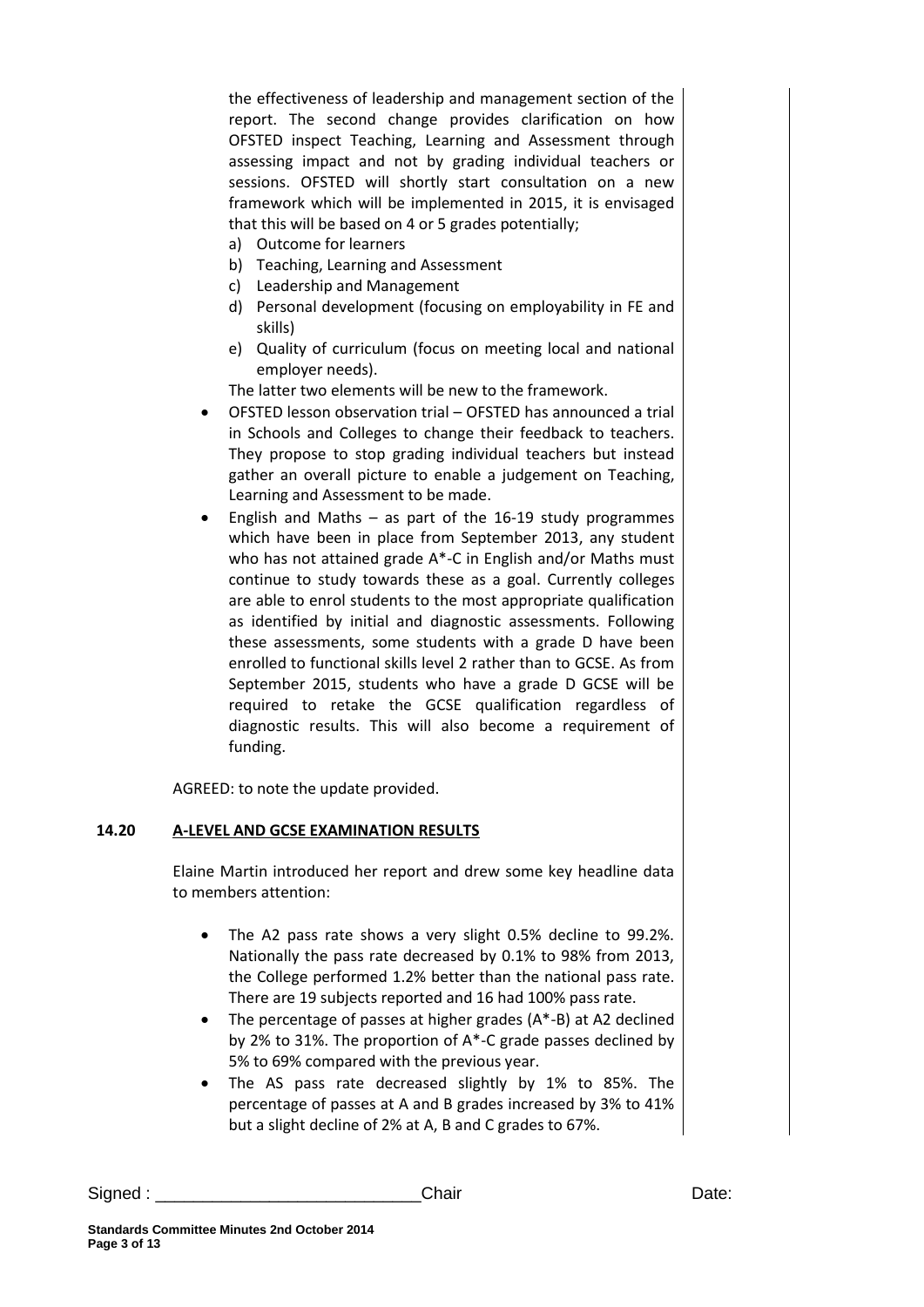the effectiveness of leadership and management section of the report. The second change provides clarification on how OFSTED inspect Teaching, Learning and Assessment through assessing impact and not by grading individual teachers or sessions. OFSTED will shortly start consultation on a new framework which will be implemented in 2015, it is envisaged that this will be based on 4 or 5 grades potentially;

- a) Outcome for learners
- b) Teaching, Learning and Assessment
- c) Leadership and Management
- d) Personal development (focusing on employability in FE and skills)
- e) Quality of curriculum (focus on meeting local and national employer needs).

The latter two elements will be new to the framework.

- OFSTED lesson observation trial OFSTED has announced a trial in Schools and Colleges to change their feedback to teachers. They propose to stop grading individual teachers but instead gather an overall picture to enable a judgement on Teaching, Learning and Assessment to be made.
- English and Maths as part of the 16-19 study programmes which have been in place from September 2013, any student who has not attained grade A\*-C in English and/or Maths must continue to study towards these as a goal. Currently colleges are able to enrol students to the most appropriate qualification as identified by initial and diagnostic assessments. Following these assessments, some students with a grade D have been enrolled to functional skills level 2 rather than to GCSE. As from September 2015, students who have a grade D GCSE will be required to retake the GCSE qualification regardless of diagnostic results. This will also become a requirement of funding.

AGREED: to note the update provided.

#### **14.20 A-LEVEL AND GCSE EXAMINATION RESULTS**

Elaine Martin introduced her report and drew some key headline data to members attention:

- The A2 pass rate shows a very slight 0.5% decline to 99.2%. Nationally the pass rate decreased by 0.1% to 98% from 2013, the College performed 1.2% better than the national pass rate. There are 19 subjects reported and 16 had 100% pass rate.
- The percentage of passes at higher grades (A\*-B) at A2 declined by 2% to 31%. The proportion of A\*-C grade passes declined by 5% to 69% compared with the previous year.
- The AS pass rate decreased slightly by 1% to 85%. The percentage of passes at A and B grades increased by 3% to 41% but a slight decline of 2% at A, B and C grades to 67%.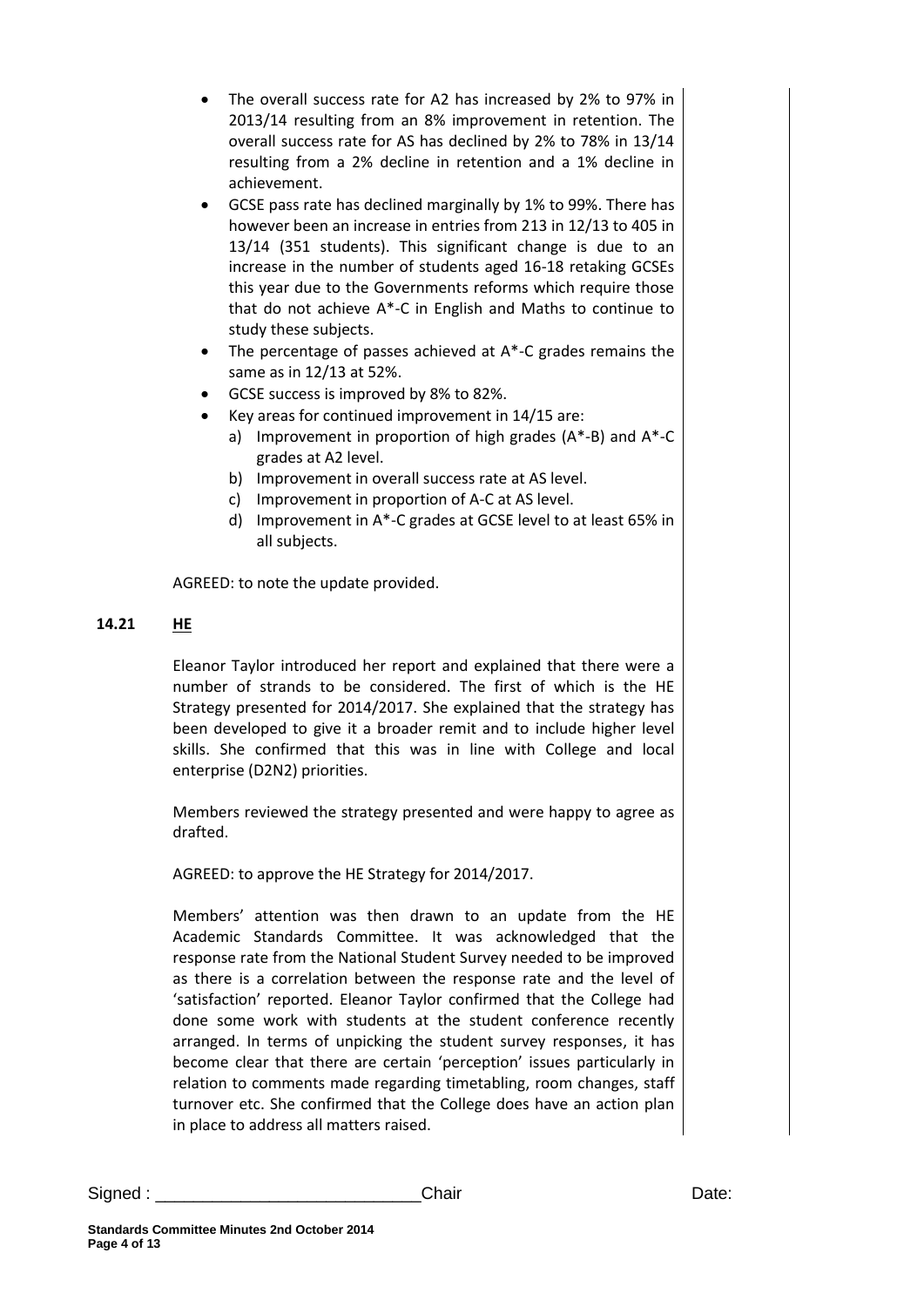- The overall success rate for A2 has increased by 2% to 97% in 2013/14 resulting from an 8% improvement in retention. The overall success rate for AS has declined by 2% to 78% in 13/14 resulting from a 2% decline in retention and a 1% decline in achievement.
- GCSE pass rate has declined marginally by 1% to 99%. There has however been an increase in entries from 213 in 12/13 to 405 in 13/14 (351 students). This significant change is due to an increase in the number of students aged 16-18 retaking GCSEs this year due to the Governments reforms which require those that do not achieve A\*-C in English and Maths to continue to study these subjects.
- The percentage of passes achieved at A<sup>\*</sup>-C grades remains the same as in 12/13 at 52%.
- GCSE success is improved by 8% to 82%.
- Key areas for continued improvement in 14/15 are:
	- a) Improvement in proportion of high grades (A\*-B) and A\*-C grades at A2 level.
	- b) Improvement in overall success rate at AS level.
	- c) Improvement in proportion of A-C at AS level.
	- d) Improvement in A\*-C grades at GCSE level to at least 65% in all subjects.

AGREED: to note the update provided.

#### **14.21 HE**

Eleanor Taylor introduced her report and explained that there were a number of strands to be considered. The first of which is the HE Strategy presented for 2014/2017. She explained that the strategy has been developed to give it a broader remit and to include higher level skills. She confirmed that this was in line with College and local enterprise (D2N2) priorities.

Members reviewed the strategy presented and were happy to agree as drafted.

AGREED: to approve the HE Strategy for 2014/2017.

Members' attention was then drawn to an update from the HE Academic Standards Committee. It was acknowledged that the response rate from the National Student Survey needed to be improved as there is a correlation between the response rate and the level of 'satisfaction' reported. Eleanor Taylor confirmed that the College had done some work with students at the student conference recently arranged. In terms of unpicking the student survey responses, it has become clear that there are certain 'perception' issues particularly in relation to comments made regarding timetabling, room changes, staff turnover etc. She confirmed that the College does have an action plan in place to address all matters raised.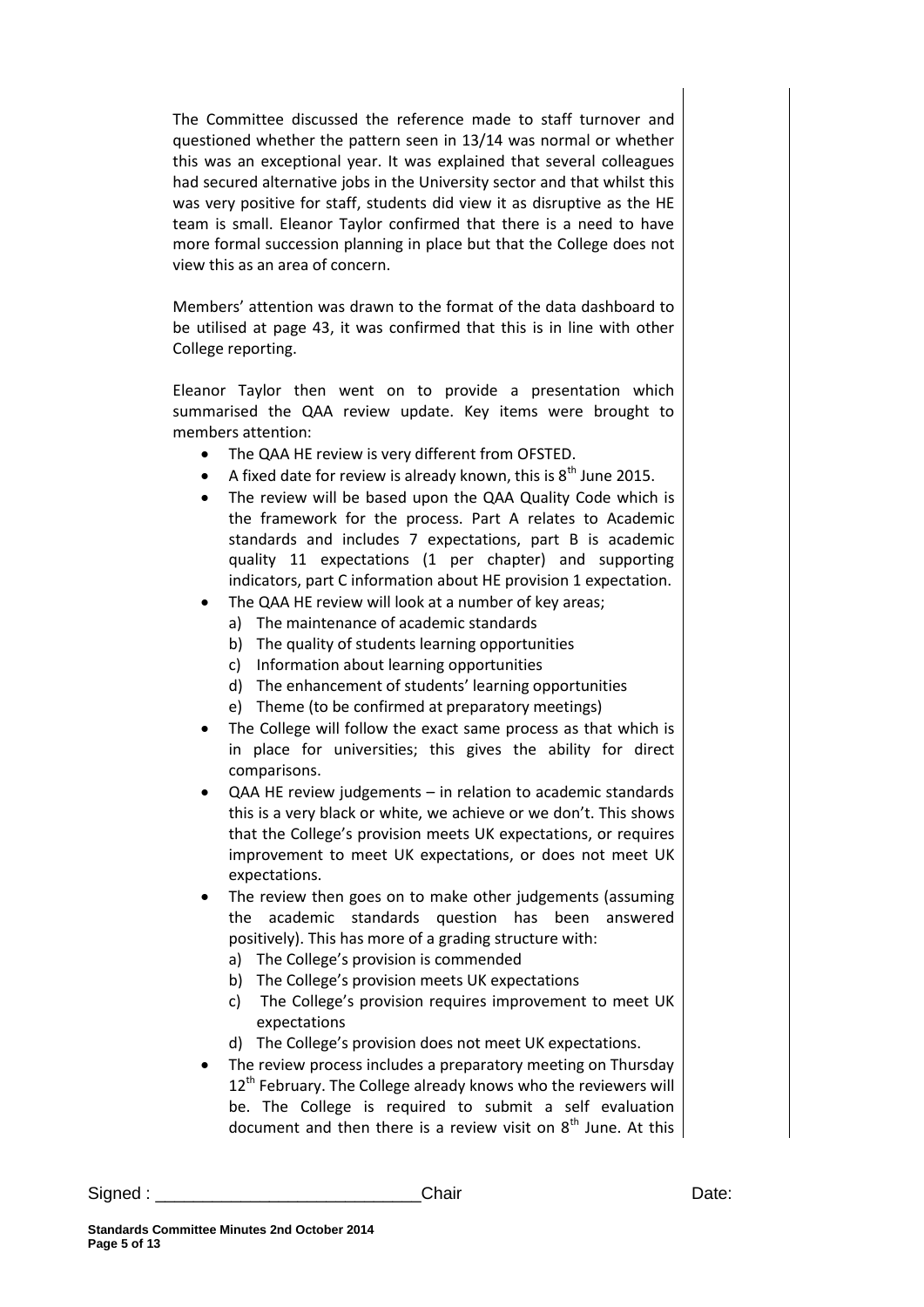The Committee discussed the reference made to staff turnover and questioned whether the pattern seen in 13/14 was normal or whether this was an exceptional year. It was explained that several colleagues had secured alternative jobs in the University sector and that whilst this was very positive for staff, students did view it as disruptive as the HE team is small. Eleanor Taylor confirmed that there is a need to have more formal succession planning in place but that the College does not view this as an area of concern.

Members' attention was drawn to the format of the data dashboard to be utilised at page 43, it was confirmed that this is in line with other College reporting.

Eleanor Taylor then went on to provide a presentation which summarised the QAA review update. Key items were brought to members attention:

- The QAA HE review is very different from OFSTED.
- A fixed date for review is already known, this is  $8^{th}$  June 2015.
- The review will be based upon the QAA Quality Code which is the framework for the process. Part A relates to Academic standards and includes 7 expectations, part B is academic quality 11 expectations (1 per chapter) and supporting indicators, part C information about HE provision 1 expectation.
- The QAA HE review will look at a number of key areas;
	- a) The maintenance of academic standards
	- b) The quality of students learning opportunities
	- c) Information about learning opportunities
	- d) The enhancement of students' learning opportunities
	- e) Theme (to be confirmed at preparatory meetings)
- The College will follow the exact same process as that which is in place for universities; this gives the ability for direct comparisons.
- QAA HE review judgements in relation to academic standards this is a very black or white, we achieve or we don't. This shows that the College's provision meets UK expectations, or requires improvement to meet UK expectations, or does not meet UK expectations.
- The review then goes on to make other judgements (assuming the academic standards question has been answered positively). This has more of a grading structure with:
	- a) The College's provision is commended
	- b) The College's provision meets UK expectations
	- c) The College's provision requires improvement to meet UK expectations
	- d) The College's provision does not meet UK expectations.
- The review process includes a preparatory meeting on Thursday  $12<sup>th</sup>$  February. The College already knows who the reviewers will be. The College is required to submit a self evaluation document and then there is a review visit on  $8<sup>th</sup>$  June. At this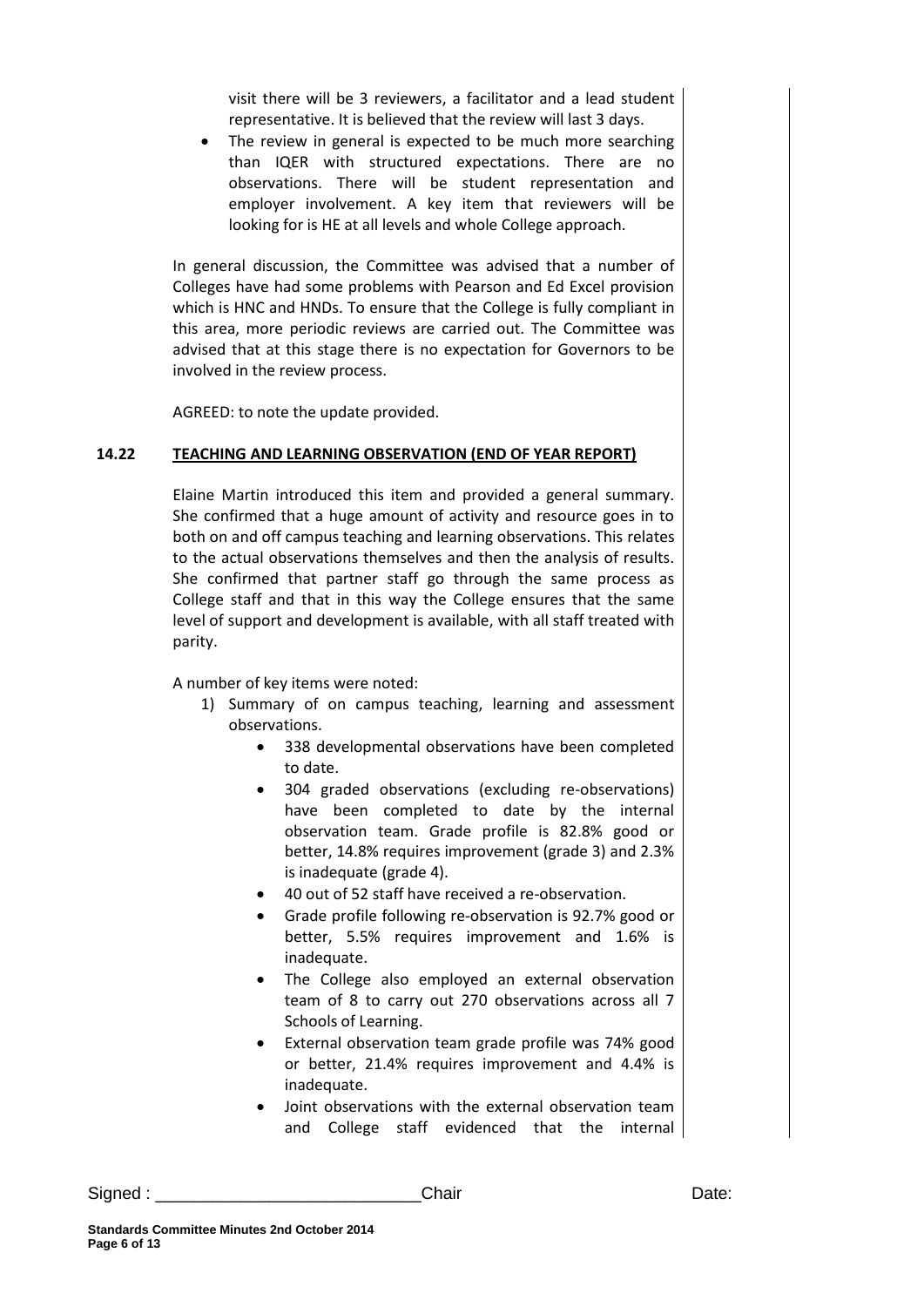visit there will be 3 reviewers, a facilitator and a lead student representative. It is believed that the review will last 3 days.

 The review in general is expected to be much more searching than IQER with structured expectations. There are no observations. There will be student representation and employer involvement. A key item that reviewers will be looking for is HE at all levels and whole College approach.

In general discussion, the Committee was advised that a number of Colleges have had some problems with Pearson and Ed Excel provision which is HNC and HNDs. To ensure that the College is fully compliant in this area, more periodic reviews are carried out. The Committee was advised that at this stage there is no expectation for Governors to be involved in the review process.

AGREED: to note the update provided.

#### **14.22 TEACHING AND LEARNING OBSERVATION (END OF YEAR REPORT)**

Elaine Martin introduced this item and provided a general summary. She confirmed that a huge amount of activity and resource goes in to both on and off campus teaching and learning observations. This relates to the actual observations themselves and then the analysis of results. She confirmed that partner staff go through the same process as College staff and that in this way the College ensures that the same level of support and development is available, with all staff treated with parity.

A number of key items were noted:

- 1) Summary of on campus teaching, learning and assessment observations.
	- 338 developmental observations have been completed to date.
	- 304 graded observations (excluding re-observations) have been completed to date by the internal observation team. Grade profile is 82.8% good or better, 14.8% requires improvement (grade 3) and 2.3% is inadequate (grade 4).
	- 40 out of 52 staff have received a re-observation.
	- Grade profile following re-observation is 92.7% good or better, 5.5% requires improvement and 1.6% is inadequate.
	- The College also employed an external observation team of 8 to carry out 270 observations across all 7 Schools of Learning.
	- External observation team grade profile was 74% good or better, 21.4% requires improvement and 4.4% is inadequate.
	- Joint observations with the external observation team and College staff evidenced that the internal

Signed : \_\_\_\_\_\_\_\_\_\_\_\_\_\_\_\_\_\_\_\_\_\_\_\_\_\_\_\_Chair Date: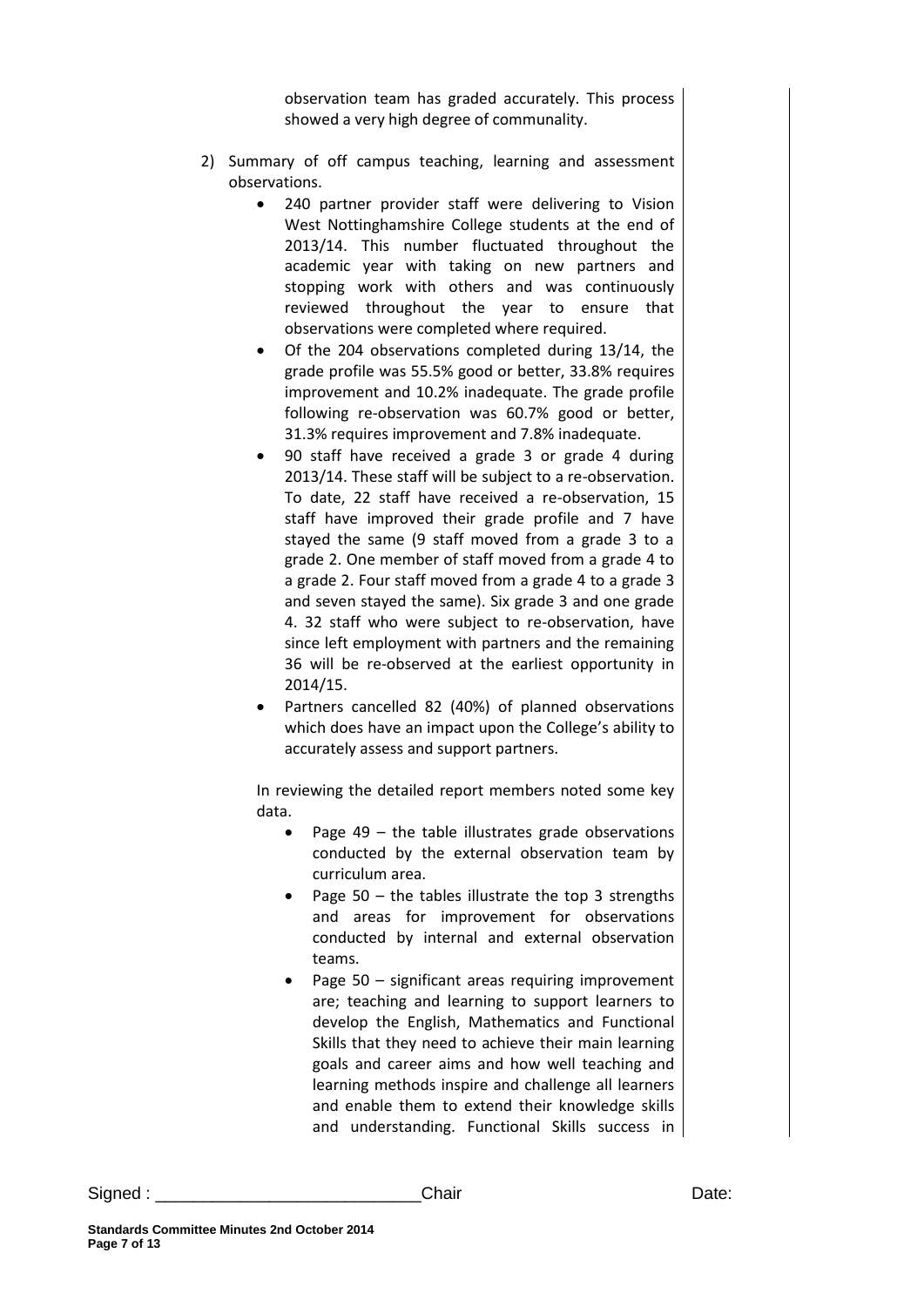observation team has graded accurately. This process showed a very high degree of communality.

- 2) Summary of off campus teaching, learning and assessment observations.
	- 240 partner provider staff were delivering to Vision West Nottinghamshire College students at the end of 2013/14. This number fluctuated throughout the academic year with taking on new partners and stopping work with others and was continuously reviewed throughout the year to ensure that observations were completed where required.
	- Of the 204 observations completed during 13/14, the grade profile was 55.5% good or better, 33.8% requires improvement and 10.2% inadequate. The grade profile following re-observation was 60.7% good or better, 31.3% requires improvement and 7.8% inadequate.
	- 90 staff have received a grade 3 or grade 4 during 2013/14. These staff will be subject to a re-observation. To date, 22 staff have received a re-observation, 15 staff have improved their grade profile and 7 have stayed the same (9 staff moved from a grade 3 to a grade 2. One member of staff moved from a grade 4 to a grade 2. Four staff moved from a grade 4 to a grade 3 and seven stayed the same). Six grade 3 and one grade 4. 32 staff who were subject to re-observation, have since left employment with partners and the remaining 36 will be re-observed at the earliest opportunity in 2014/15.
	- Partners cancelled 82 (40%) of planned observations which does have an impact upon the College's ability to accurately assess and support partners.

In reviewing the detailed report members noted some key data.

- Page  $49$  the table illustrates grade observations conducted by the external observation team by curriculum area.
- Page  $50$  the tables illustrate the top 3 strengths and areas for improvement for observations conducted by internal and external observation teams.
- Page 50 significant areas requiring improvement are; teaching and learning to support learners to develop the English, Mathematics and Functional Skills that they need to achieve their main learning goals and career aims and how well teaching and learning methods inspire and challenge all learners and enable them to extend their knowledge skills and understanding. Functional Skills success in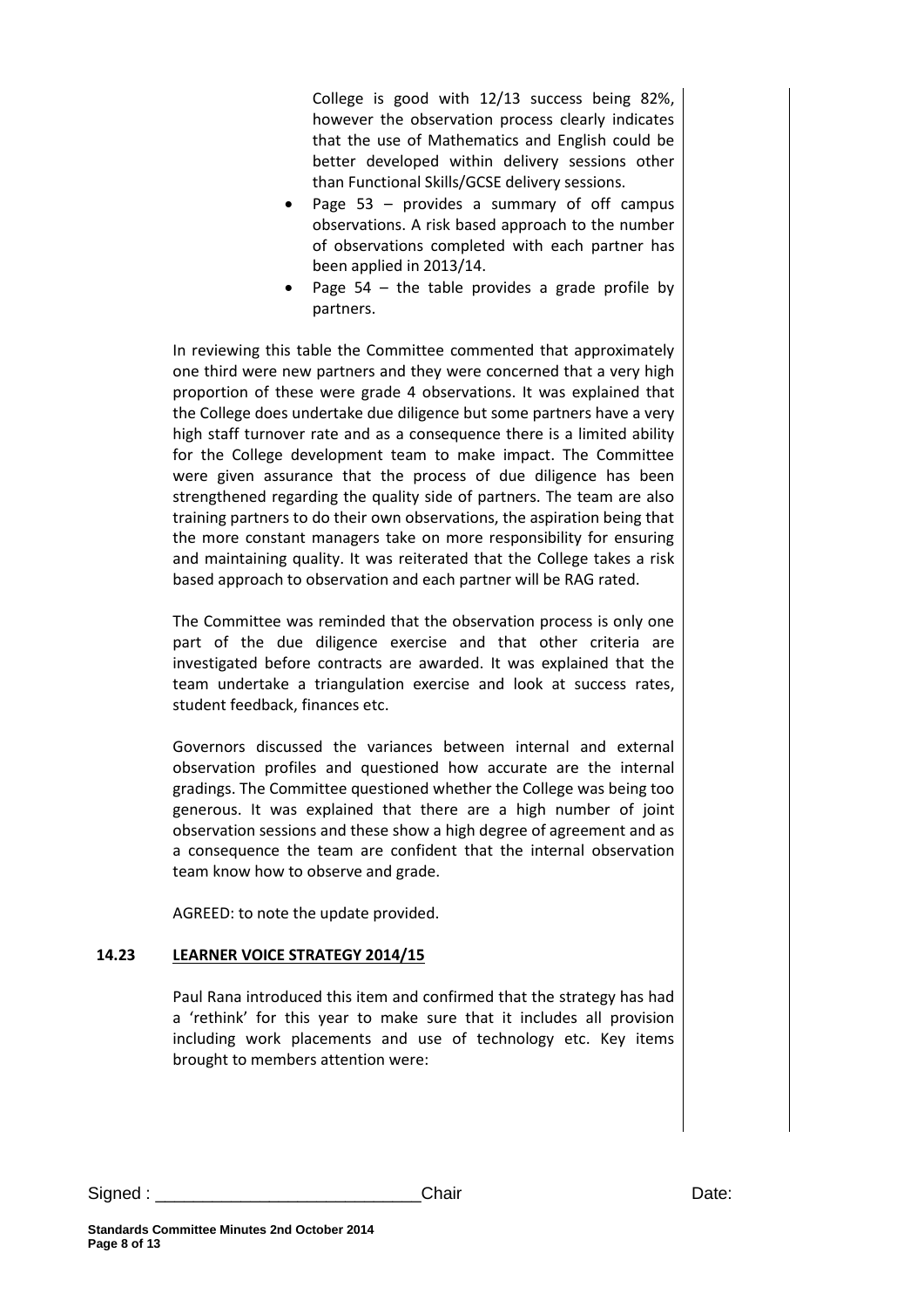College is good with 12/13 success being 82%, however the observation process clearly indicates that the use of Mathematics and English could be better developed within delivery sessions other than Functional Skills/GCSE delivery sessions.

- Page 53 provides a summary of off campus observations. A risk based approach to the number of observations completed with each partner has been applied in 2013/14.
- Page 54 the table provides a grade profile by partners.

In reviewing this table the Committee commented that approximately one third were new partners and they were concerned that a very high proportion of these were grade 4 observations. It was explained that the College does undertake due diligence but some partners have a very high staff turnover rate and as a consequence there is a limited ability for the College development team to make impact. The Committee were given assurance that the process of due diligence has been strengthened regarding the quality side of partners. The team are also training partners to do their own observations, the aspiration being that the more constant managers take on more responsibility for ensuring and maintaining quality. It was reiterated that the College takes a risk based approach to observation and each partner will be RAG rated.

The Committee was reminded that the observation process is only one part of the due diligence exercise and that other criteria are investigated before contracts are awarded. It was explained that the team undertake a triangulation exercise and look at success rates, student feedback, finances etc.

Governors discussed the variances between internal and external observation profiles and questioned how accurate are the internal gradings. The Committee questioned whether the College was being too generous. It was explained that there are a high number of joint observation sessions and these show a high degree of agreement and as a consequence the team are confident that the internal observation team know how to observe and grade.

AGREED: to note the update provided.

#### **14.23 LEARNER VOICE STRATEGY 2014/15**

Paul Rana introduced this item and confirmed that the strategy has had a 'rethink' for this year to make sure that it includes all provision including work placements and use of technology etc. Key items brought to members attention were: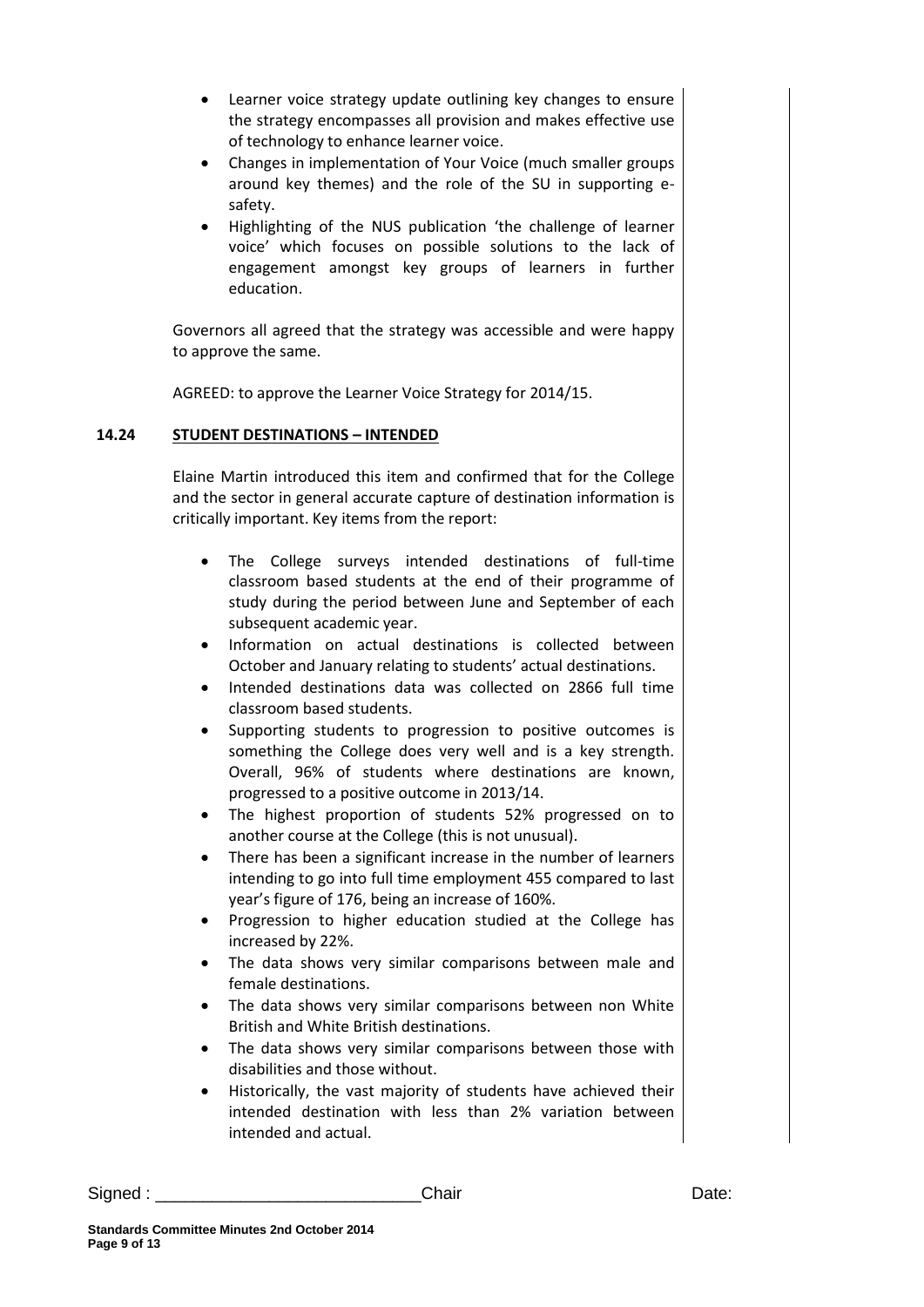- Learner voice strategy update outlining key changes to ensure the strategy encompasses all provision and makes effective use of technology to enhance learner voice.
- Changes in implementation of Your Voice (much smaller groups around key themes) and the role of the SU in supporting esafety.
- Highlighting of the NUS publication 'the challenge of learner voice' which focuses on possible solutions to the lack of engagement amongst key groups of learners in further education.

Governors all agreed that the strategy was accessible and were happy to approve the same.

AGREED: to approve the Learner Voice Strategy for 2014/15.

### **14.24 STUDENT DESTINATIONS – INTENDED**

Elaine Martin introduced this item and confirmed that for the College and the sector in general accurate capture of destination information is critically important. Key items from the report:

- The College surveys intended destinations of full-time classroom based students at the end of their programme of study during the period between June and September of each subsequent academic year.
- Information on actual destinations is collected between October and January relating to students' actual destinations.
- Intended destinations data was collected on 2866 full time classroom based students.
- Supporting students to progression to positive outcomes is something the College does very well and is a key strength. Overall, 96% of students where destinations are known, progressed to a positive outcome in 2013/14.
- The highest proportion of students 52% progressed on to another course at the College (this is not unusual).
- There has been a significant increase in the number of learners intending to go into full time employment 455 compared to last year's figure of 176, being an increase of 160%.
- Progression to higher education studied at the College has increased by 22%.
- The data shows very similar comparisons between male and female destinations.
- The data shows very similar comparisons between non White British and White British destinations.
- The data shows very similar comparisons between those with disabilities and those without.
- Historically, the vast majority of students have achieved their intended destination with less than 2% variation between intended and actual.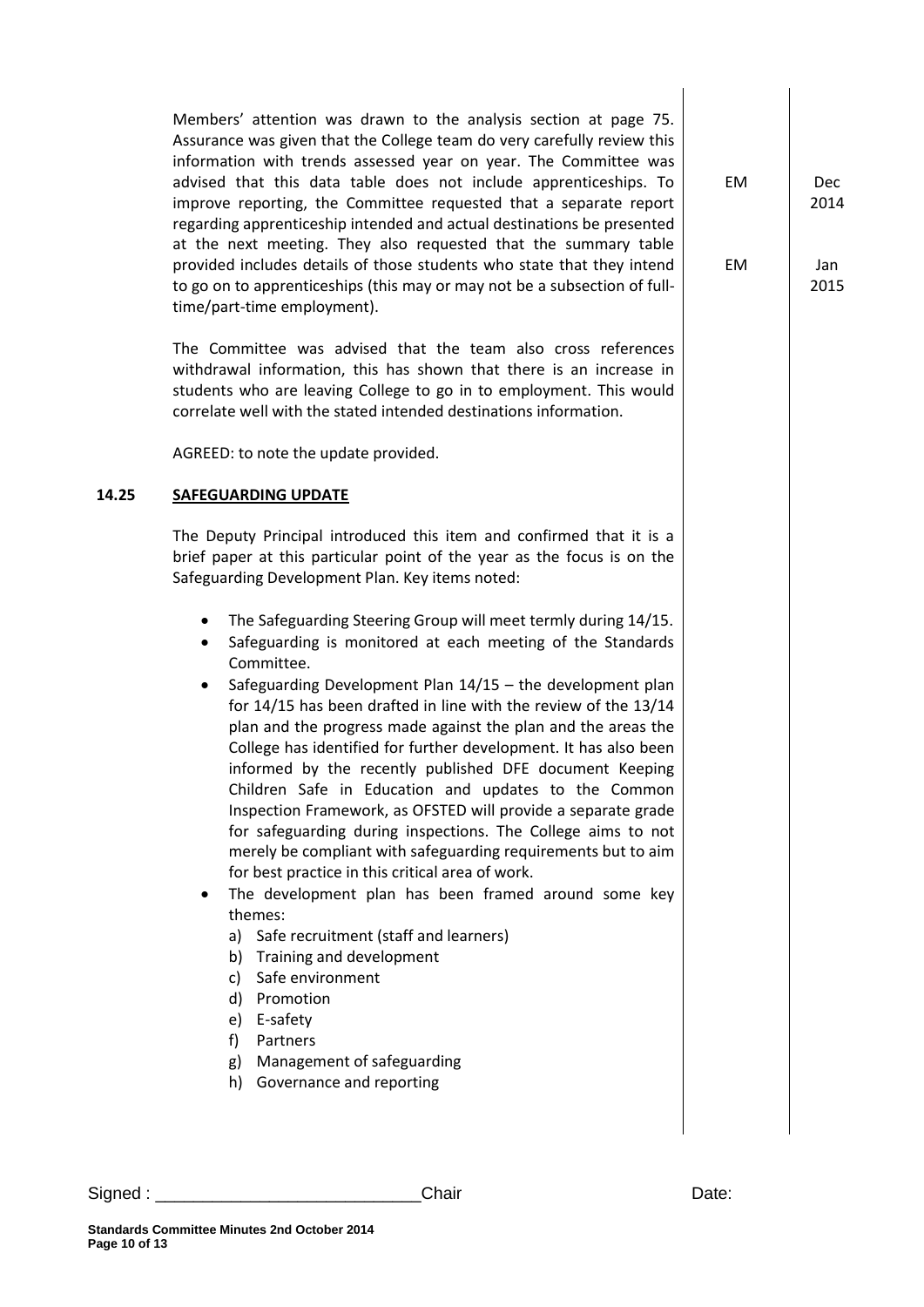Members' attention was drawn to the analysis section at page 75. Assurance was given that the College team do very carefully review this information with trends assessed year on year. The Committee was advised that this data table does not include apprenticeships. To improve reporting, the Committee requested that a separate report regarding apprenticeship intended and actual destinations be presented at the next meeting. They also requested that the summary table provided includes details of those students who state that they intend to go on to apprenticeships (this may or may not be a subsection of fulltime/part-time employment).

The Committee was advised that the team also cross references withdrawal information, this has shown that there is an increase in students who are leaving College to go in to employment. This would correlate well with the stated intended destinations information.

AGREED: to note the update provided.

#### **14.25 SAFEGUARDING UPDATE**

The Deputy Principal introduced this item and confirmed that it is a brief paper at this particular point of the year as the focus is on the Safeguarding Development Plan. Key items noted:

- The Safeguarding Steering Group will meet termly during 14/15.
- Safeguarding is monitored at each meeting of the Standards Committee.
- Safeguarding Development Plan 14/15 the development plan for 14/15 has been drafted in line with the review of the 13/14 plan and the progress made against the plan and the areas the College has identified for further development. It has also been informed by the recently published DFE document Keeping Children Safe in Education and updates to the Common Inspection Framework, as OFSTED will provide a separate grade for safeguarding during inspections. The College aims to not merely be compliant with safeguarding requirements but to aim for best practice in this critical area of work.
- The development plan has been framed around some key themes:
	- a) Safe recruitment (staff and learners)
	- b) Training and development
	- c) Safe environment
	- d) Promotion
	- e) E-safety
	- f) Partners
	- g) Management of safeguarding
	- h) Governance and reporting

EM 2014

EM

Jan 2015

Dec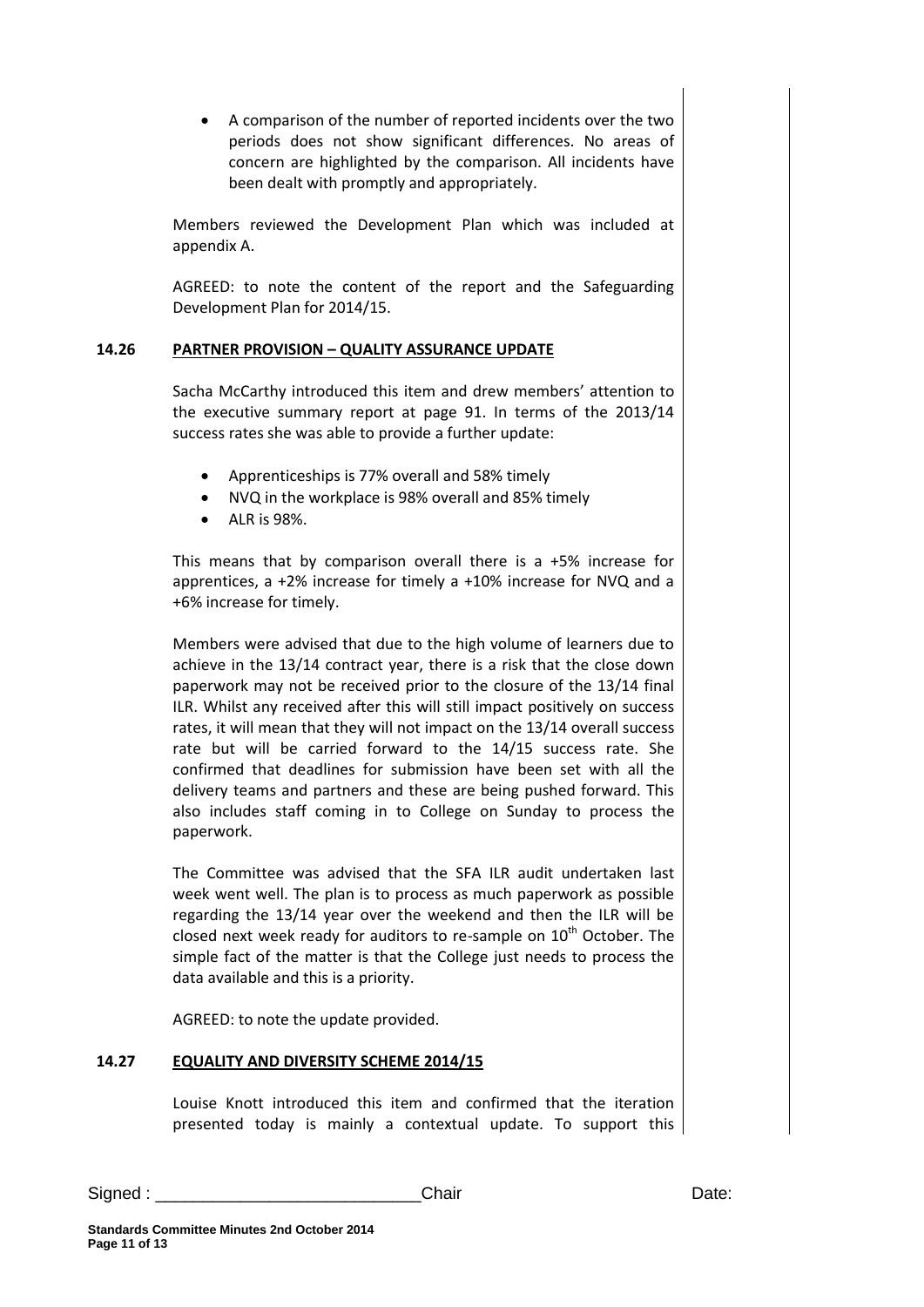A comparison of the number of reported incidents over the two periods does not show significant differences. No areas of concern are highlighted by the comparison. All incidents have been dealt with promptly and appropriately.

Members reviewed the Development Plan which was included at appendix A.

AGREED: to note the content of the report and the Safeguarding Development Plan for 2014/15.

#### **14.26 PARTNER PROVISION – QUALITY ASSURANCE UPDATE**

Sacha McCarthy introduced this item and drew members' attention to the executive summary report at page 91. In terms of the 2013/14 success rates she was able to provide a further update:

- Apprenticeships is 77% overall and 58% timely
- NVQ in the workplace is 98% overall and 85% timely
- ALR is 98%.

This means that by comparison overall there is a +5% increase for apprentices, a +2% increase for timely a +10% increase for NVQ and a +6% increase for timely.

Members were advised that due to the high volume of learners due to achieve in the 13/14 contract year, there is a risk that the close down paperwork may not be received prior to the closure of the 13/14 final ILR. Whilst any received after this will still impact positively on success rates, it will mean that they will not impact on the 13/14 overall success rate but will be carried forward to the 14/15 success rate. She confirmed that deadlines for submission have been set with all the delivery teams and partners and these are being pushed forward. This also includes staff coming in to College on Sunday to process the paperwork.

The Committee was advised that the SFA ILR audit undertaken last week went well. The plan is to process as much paperwork as possible regarding the 13/14 year over the weekend and then the ILR will be closed next week ready for auditors to re-sample on  $10<sup>th</sup>$  October. The simple fact of the matter is that the College just needs to process the data available and this is a priority.

AGREED: to note the update provided.

#### **14.27 EQUALITY AND DIVERSITY SCHEME 2014/15**

Louise Knott introduced this item and confirmed that the iteration presented today is mainly a contextual update. To support this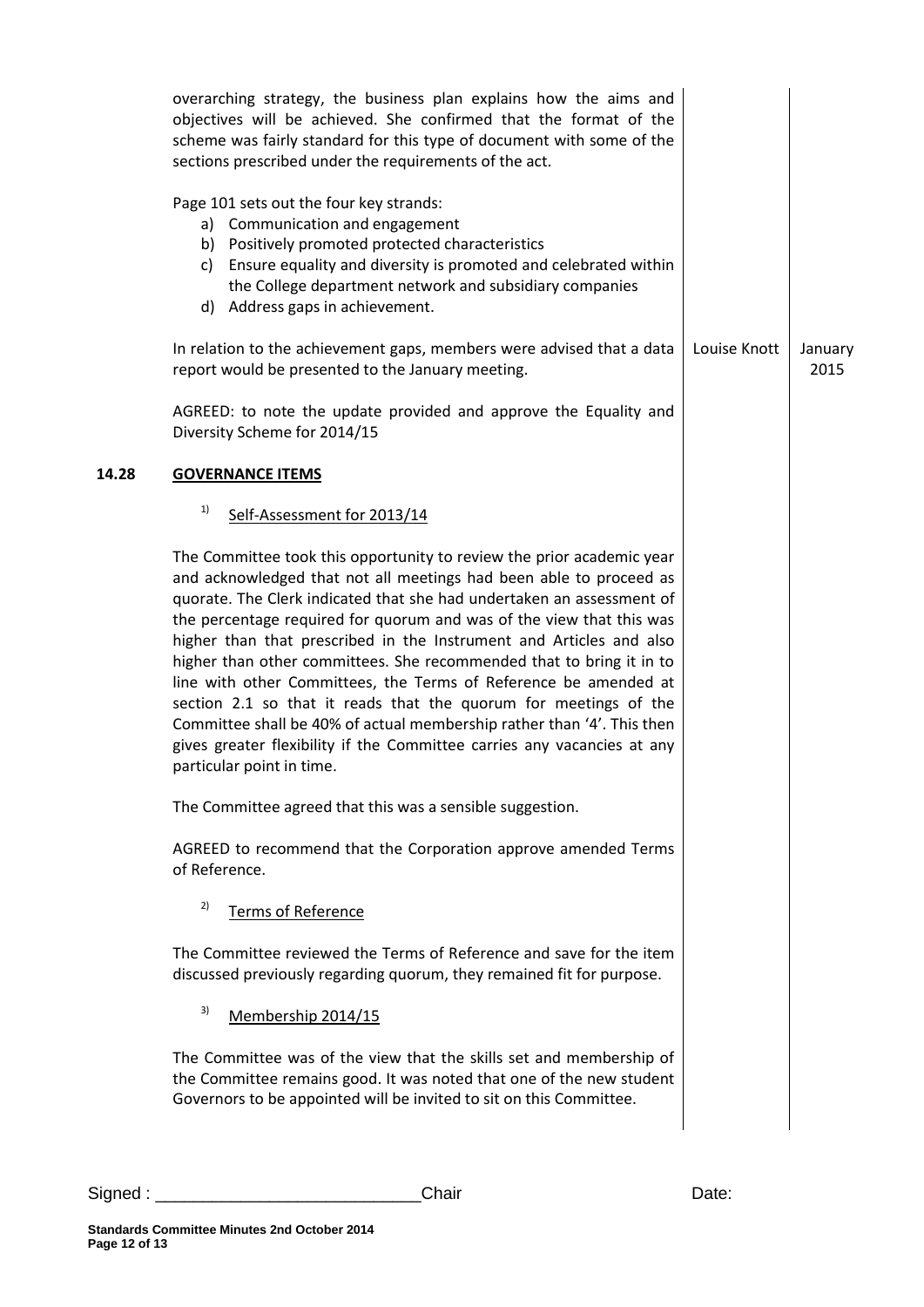|       | overarching strategy, the business plan explains how the aims and<br>objectives will be achieved. She confirmed that the format of the<br>scheme was fairly standard for this type of document with some of the<br>sections prescribed under the requirements of the act.                                                                                                                                                                                                                                                                                                                                                                                                                                                                                             |              |                 |
|-------|-----------------------------------------------------------------------------------------------------------------------------------------------------------------------------------------------------------------------------------------------------------------------------------------------------------------------------------------------------------------------------------------------------------------------------------------------------------------------------------------------------------------------------------------------------------------------------------------------------------------------------------------------------------------------------------------------------------------------------------------------------------------------|--------------|-----------------|
|       | Page 101 sets out the four key strands:<br>a) Communication and engagement<br>b) Positively promoted protected characteristics<br>c) Ensure equality and diversity is promoted and celebrated within<br>the College department network and subsidiary companies<br>d) Address gaps in achievement.                                                                                                                                                                                                                                                                                                                                                                                                                                                                    |              |                 |
|       | In relation to the achievement gaps, members were advised that a data<br>report would be presented to the January meeting.                                                                                                                                                                                                                                                                                                                                                                                                                                                                                                                                                                                                                                            | Louise Knott | January<br>2015 |
|       | AGREED: to note the update provided and approve the Equality and<br>Diversity Scheme for 2014/15                                                                                                                                                                                                                                                                                                                                                                                                                                                                                                                                                                                                                                                                      |              |                 |
| 14.28 | <b>GOVERNANCE ITEMS</b>                                                                                                                                                                                                                                                                                                                                                                                                                                                                                                                                                                                                                                                                                                                                               |              |                 |
|       | 1)<br>Self-Assessment for 2013/14                                                                                                                                                                                                                                                                                                                                                                                                                                                                                                                                                                                                                                                                                                                                     |              |                 |
|       | The Committee took this opportunity to review the prior academic year<br>and acknowledged that not all meetings had been able to proceed as<br>quorate. The Clerk indicated that she had undertaken an assessment of<br>the percentage required for quorum and was of the view that this was<br>higher than that prescribed in the Instrument and Articles and also<br>higher than other committees. She recommended that to bring it in to<br>line with other Committees, the Terms of Reference be amended at<br>section 2.1 so that it reads that the quorum for meetings of the<br>Committee shall be 40% of actual membership rather than '4'. This then<br>gives greater flexibility if the Committee carries any vacancies at any<br>particular point in time. |              |                 |
|       | The Committee agreed that this was a sensible suggestion.                                                                                                                                                                                                                                                                                                                                                                                                                                                                                                                                                                                                                                                                                                             |              |                 |
|       | AGREED to recommend that the Corporation approve amended Terms<br>of Reference.                                                                                                                                                                                                                                                                                                                                                                                                                                                                                                                                                                                                                                                                                       |              |                 |
|       | 2)<br><b>Terms of Reference</b>                                                                                                                                                                                                                                                                                                                                                                                                                                                                                                                                                                                                                                                                                                                                       |              |                 |
|       | The Committee reviewed the Terms of Reference and save for the item<br>discussed previously regarding quorum, they remained fit for purpose.                                                                                                                                                                                                                                                                                                                                                                                                                                                                                                                                                                                                                          |              |                 |
|       | 3)<br>Membership 2014/15                                                                                                                                                                                                                                                                                                                                                                                                                                                                                                                                                                                                                                                                                                                                              |              |                 |
|       | The Committee was of the view that the skills set and membership of<br>the Committee remains good. It was noted that one of the new student<br>Governors to be appointed will be invited to sit on this Committee.                                                                                                                                                                                                                                                                                                                                                                                                                                                                                                                                                    |              |                 |
|       |                                                                                                                                                                                                                                                                                                                                                                                                                                                                                                                                                                                                                                                                                                                                                                       |              |                 |